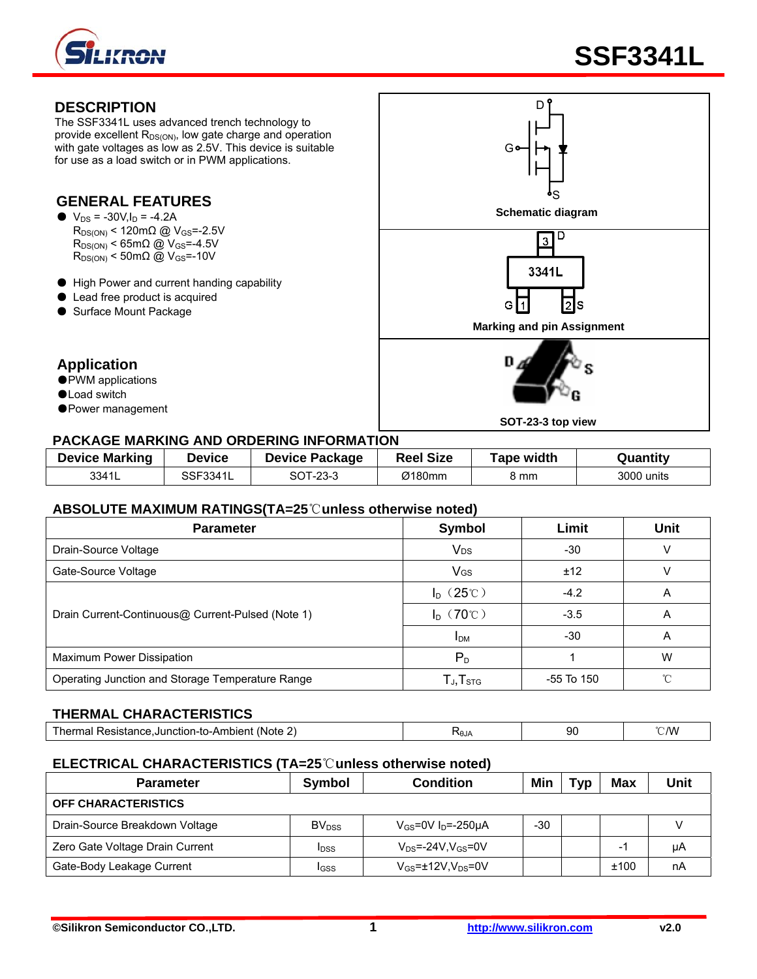

The SSF3341L uses advanced trench technology to provide excellent  $R_{DS(ON)}$ , low gate charge and operation with gate voltages as low as 2.5V. This device is suitable for use as a load switch or in PWM applications.

#### **GENERAL FEATURES**

- $R_{DS(ON)}$  < 120m $\Omega$  @ V<sub>GS</sub>=-2.5V  $R_{DS(ON)}$  < 65m $\Omega$  @ V<sub>GS</sub>=-4.5V  $R_{DS(ON)}$  < 50m $\Omega$  @ V<sub>GS</sub>=-10V
- High Power and current handing capability
- Lead free product is acquired
- Surface Mount Package

### **Application**

- PWM applications
- ●Load switch
- Power management

### **DESCRIPTION** D  $G$ S  $\bullet$   $V_{DS}$  = -30V, I<sub>D</sub> = -4.2A **Schematic diagram** D  $\overline{3}$ 3341L Ġ  $\overline{1}$ 2s **Marking and pin Assignment** D, **SOT-23-3 top view**

#### **PACKAGE MARKING AND ORDERING INFORMATION**

| <b>Device Marking</b> | Device   | <b>Device Package</b> | <b>Reel Size</b> | <b>Tape width</b> | Quantity   |
|-----------------------|----------|-----------------------|------------------|-------------------|------------|
| 3341L                 | SSF3341L | SOT-23-3              | Ø180mm           | 8 mm              | 3000 units |

#### **ABSOLUTE MAXIMUM RATINGS(TA=25**℃**unless otherwise noted)**

| <b>Parameter</b>                                  | Symbol                | Limit      | <b>Unit</b> |
|---------------------------------------------------|-----------------------|------------|-------------|
| Drain-Source Voltage                              | <b>V<sub>DS</sub></b> | -30        |             |
| Gate-Source Voltage                               | VGS                   | ±12        |             |
|                                                   | $I_D$ (25°C)          | $-4.2$     | A           |
| Drain Current-Continuous@ Current-Pulsed (Note 1) | $I_D$ (70°C)          | $-3.5$     | A           |
|                                                   | <b>IDM</b>            | $-30$      | Α           |
| Maximum Power Dissipation                         | $P_{D}$               |            | W           |
| Operating Junction and Storage Temperature Range  | $T_{J}$ , $T_{STG}$   | -55 To 150 | ∽           |

#### **THERMAL CHARACTERISTICS**

| --------<br>(Note<br>he<br>- - -<br>$-$<br>lolen.<br>-to-Ar<br>--<br>anction- <sup>r</sup><br>JU.<br>ю<br>ווסופו | <b>NUJA</b> | r c<br>. .<br>JU. | 2W |
|------------------------------------------------------------------------------------------------------------------|-------------|-------------------|----|
|                                                                                                                  |             |                   |    |

#### **ELECTRICAL CHARACTERISTICS (TA=25**℃**unless otherwise noted)**

| <b>Parameter</b>                | Symbol                   | <b>Condition</b>                    |     | Typ | Max  | Unit |
|---------------------------------|--------------------------|-------------------------------------|-----|-----|------|------|
| <b>OFF CHARACTERISTICS</b>      |                          |                                     |     |     |      |      |
| Drain-Source Breakdown Voltage  | <b>BV</b> <sub>DSS</sub> | $V_{GS}$ =0V I <sub>D</sub> =-250µA | -30 |     |      |      |
| Zero Gate Voltage Drain Current | <b>IDSS</b>              | $V_{DS}$ =-24V,V $_{GS}$ =0V        |     |     | -    | μA   |
| Gate-Body Leakage Current       | <b>IGSS</b>              | $V_{GS}$ =±12V, $V_{DS}$ =0V        |     |     | ±100 | nA   |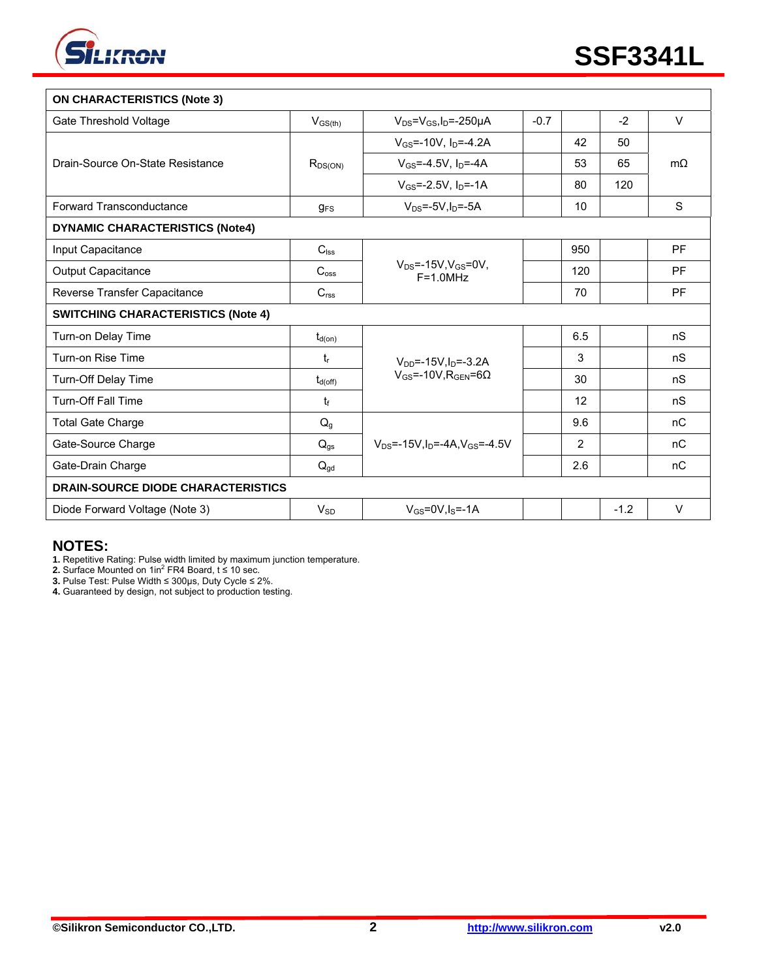

| <b>ON CHARACTERISTICS (Note 3)</b>        |                     |                                                             |        |                |        |           |
|-------------------------------------------|---------------------|-------------------------------------------------------------|--------|----------------|--------|-----------|
| Gate Threshold Voltage                    | $V_{GS(th)}$        | $V_{DS} = V_{GS}I_D = -250 \mu A$                           | $-0.7$ |                | $-2$   | $\vee$    |
|                                           |                     | $V_{GS}$ =-10V, $I_D$ =-4.2A                                |        | 42             | 50     |           |
| Drain-Source On-State Resistance          | $R_{DS(ON)}$        | $V_{GS} = -4.5V$ , $I_D = -4A$                              |        | 53             | 65     | $m\Omega$ |
|                                           |                     | $V_{GS} = -2.5V$ , $I_{D} = -1A$                            |        | 80             | 120    |           |
| Forward Transconductance                  | $g_{FS}$            | $V_{DS} = -5V \cdot ln = -5A$                               |        | 10             |        | S         |
| <b>DYNAMIC CHARACTERISTICS (Note4)</b>    |                     |                                                             |        |                |        |           |
| Input Capacitance                         | $C_{\text{lss}}$    |                                                             |        | 950            |        | <b>PF</b> |
| <b>Output Capacitance</b>                 | C <sub>oss</sub>    | $V_{DS} = -15V$ , $V_{GS} = 0V$ ,<br>$F = 1.0 MHz$          |        | 120            |        | <b>PF</b> |
| Reverse Transfer Capacitance              | C <sub>rss</sub>    |                                                             |        | 70             |        | <b>PF</b> |
| <b>SWITCHING CHARACTERISTICS (Note 4)</b> |                     |                                                             |        |                |        |           |
| Turn-on Delay Time                        | $t_{d(on)}$         |                                                             |        | 6.5            |        | nS        |
| Turn-on Rise Time                         | $t_{r}$             | $V_{DD}$ =-15V, $I_D$ =-3.2A                                |        | 3              |        | nS        |
| Turn-Off Delay Time                       | $t_{d(\text{off})}$ | $V_{GS}$ =-10V, R <sub>GEN</sub> =6 $\Omega$                |        | 30             |        | nS        |
| <b>Turn-Off Fall Time</b>                 | $t_{\rm f}$         |                                                             |        | 12             |        | nS        |
| <b>Total Gate Charge</b>                  | $Q_{q}$             |                                                             |        | 9.6            |        | nC        |
| Gate-Source Charge                        | $Q_{gs}$            | $V_{DS}$ =-15V, I <sub>D</sub> =-4A, V <sub>GS</sub> =-4.5V |        | $\overline{2}$ |        | nC        |
| Gate-Drain Charge                         | $Q_{\text{gd}}$     |                                                             |        | 2.6            |        | nC        |
| <b>DRAIN-SOURCE DIODE CHARACTERISTICS</b> |                     |                                                             |        |                |        |           |
| Diode Forward Voltage (Note 3)            | $V_{SD}$            | $V_{GS}$ =0V, $I_S$ =-1A                                    |        |                | $-1.2$ | $\vee$    |

#### **NOTES:**

**1.** Repetitive Rating: Pulse width limited by maximum junction temperature.<br>**2.** Surface Mounted on 1in<sup>2</sup> FR4 Board, t ≤ 10 sec.

**3.** Pulse Test: Pulse Width ≤ 300μs, Duty Cycle ≤ 2%.

**4.** Guaranteed by design, not subject to production testing.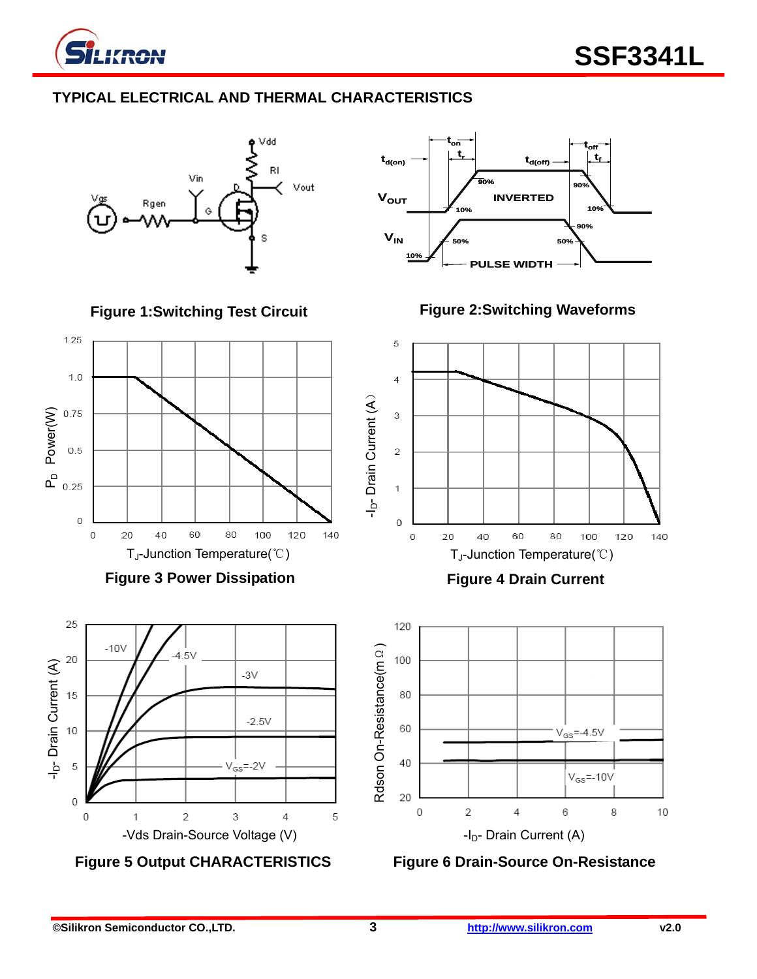

### **TYPICAL ELECTRICAL AND THERMAL CHARACTERISTICS**





**Figure 1:Switching Test Circuit** 



**Figure 3 Power Dissipation** 



**Figure 5 Output CHARACTERISTICS** 

**Figure 2:Switching Waveforms** 



**Figure 4 Drain Current** 



**Figure 6 Drain-Source On-Resistance**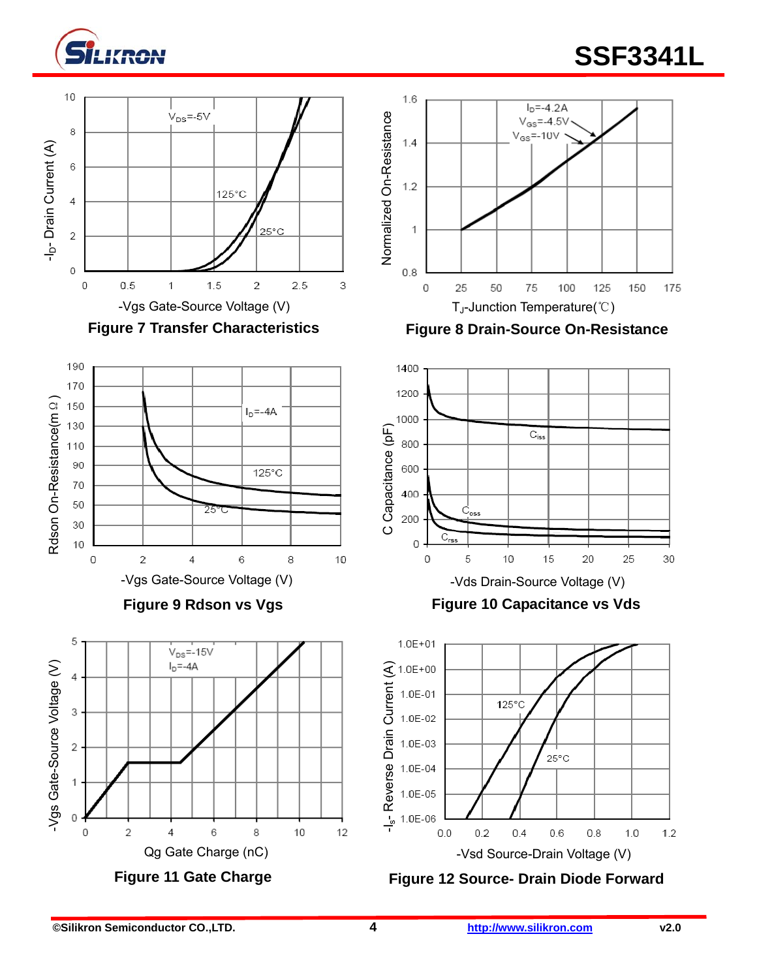

# **Silikron** SSF3341L















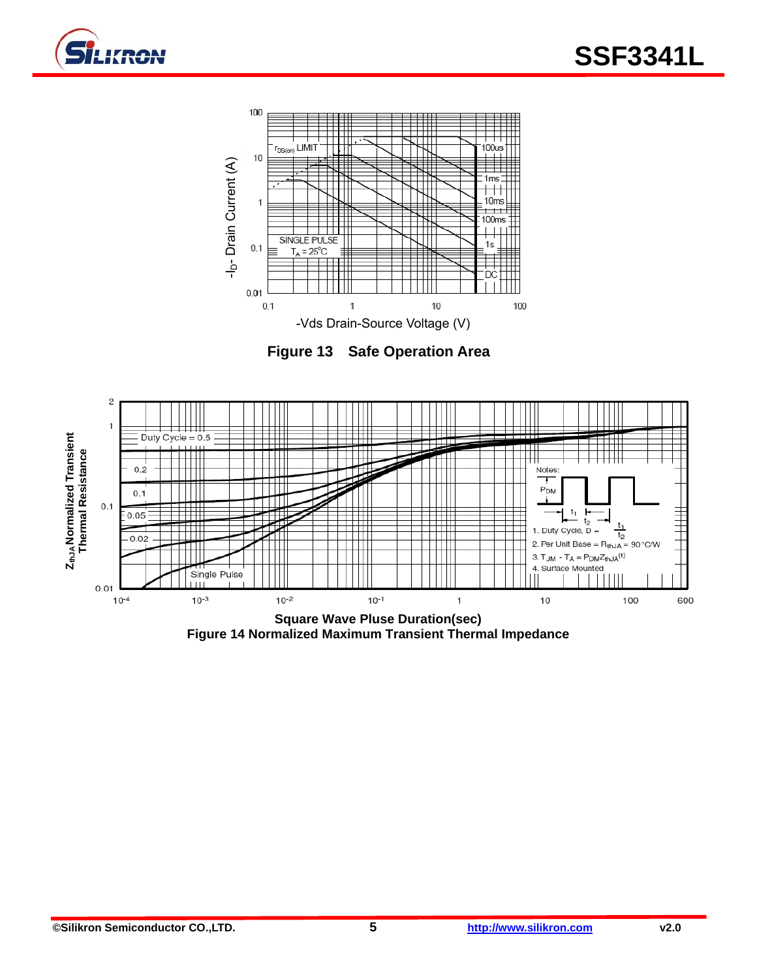



**Figure 13 Safe Operation Area** 



**Figure 14 Normalized Maximum Transient Thermal Impedance**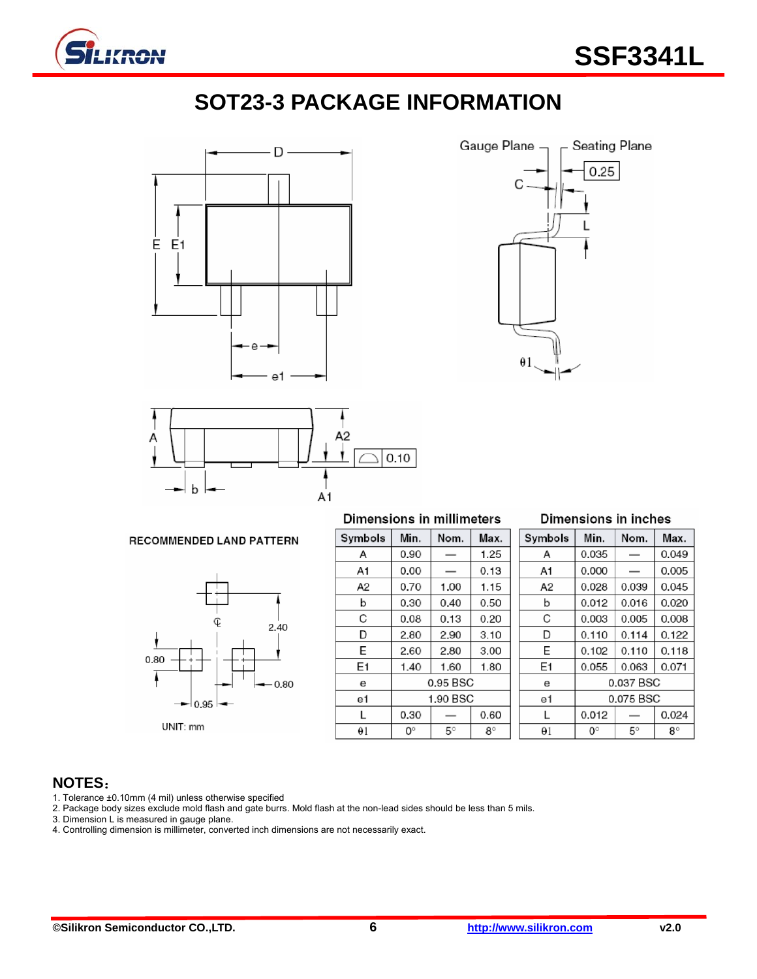

## **SOT23-3 PACKAGE INFORMATION**







|            | Dimensions in millimeters |          |           |  |            | Dimensions in inc |             |
|------------|---------------------------|----------|-----------|--|------------|-------------------|-------------|
| Symbols    | Min.                      | Nom.     | Max.      |  | Symbols    | Min.              | Nom.        |
| A          | 0.90                      |          | 1.25      |  | A          | 0.035             |             |
| A1         | 0.00                      |          | 0.13      |  | A1         | 0.000             |             |
| A2         | 0.70                      | 1.00     | 1.15      |  | A2         | 0.028             | 0.039       |
| b          | 0.30                      | 0.40     | 0.50      |  | b          | 0.012             | 0.016       |
| С          | 0.08                      | 0.13     | 0.20      |  | С          | 0.003             | 0.005       |
| D          | 2.80                      | 2.90     | 3.10      |  | D          | 0.110             | 0.114       |
| E          | 2.60                      | 2.80     | 3.00      |  | Е          | 0.102             | 0.110       |
| E1         | 1.40                      | 1.60     | 1.80      |  | E1         | 0.055             | 0.063       |
| е          |                           | 0.95 BSC |           |  | е          |                   | 0.037 BS    |
| e1         |                           | 1.90 BSC |           |  | e1         |                   | 0.075 BS    |
| L          | 0.30                      |          | 0.60      |  | L          | 0.012             |             |
| $\theta$ 1 | 0°                        | 5°       | $8^\circ$ |  | $\Theta$ 1 | $0^{\circ}$       | $5^{\circ}$ |

| Dimensions in inches |  |  |  |  |
|----------------------|--|--|--|--|
|                      |  |  |  |  |

Max.

#### **RECOMMENDED LAND PATTERN**



| A          | 0.035     |       | 0.049     |  |  |  |
|------------|-----------|-------|-----------|--|--|--|
| A1         | 0.000     |       | 0.005     |  |  |  |
| A2         | 0.028     | 0.039 | 0.045     |  |  |  |
| b          | 0.012     | 0.016 | 0.020     |  |  |  |
| C          | 0.003     | 0.005 | 0.008     |  |  |  |
| D          | 0.110     | 0.114 | 0.122     |  |  |  |
| E          | 0.102     | 0.110 | 0.118     |  |  |  |
| E1         | 0.055     | 0.063 | 0.071     |  |  |  |
| е          | 0.037 BSC |       |           |  |  |  |
| e1         | 0.075 BSC |       |           |  |  |  |
| L          | 0.012     |       | 0.024     |  |  |  |
| $\theta$ 1 | o∘        | 5°    | $8^\circ$ |  |  |  |

#### **NOTES**:

1. Tolerance ±0.10mm (4 mil) unless otherwise specified

2. Package body sizes exclude mold flash and gate burrs. Mold flash at the non-lead sides should be less than 5 mils.

3. Dimension L is measured in gauge plane.

4. Controlling dimension is millimeter, converted inch dimensions are not necessarily exact.